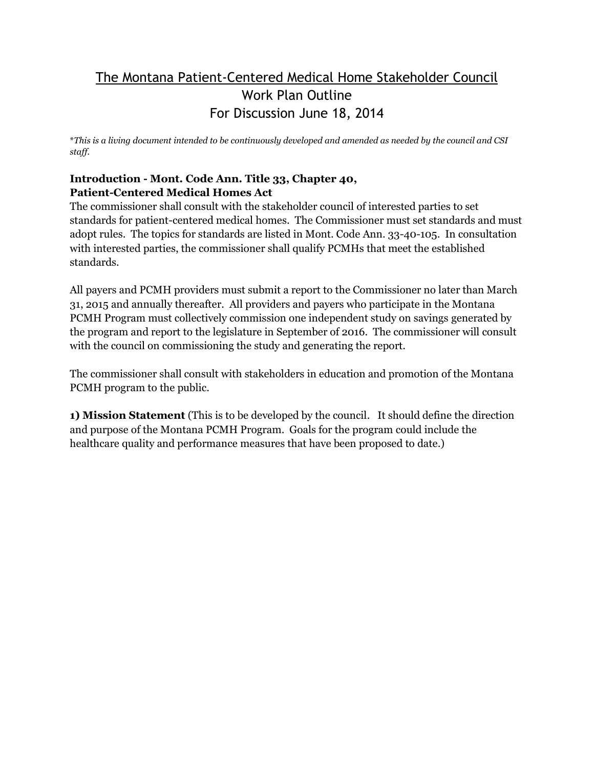## The Montana Patient-Centered Medical Home Stakeholder Council Work Plan Outline For Discussion June 18, 2014

\**This is a living document intended to be continuously developed and amended as needed by the council and CSI staff.*

## **Introduction - Mont. Code Ann. Title 33, Chapter 40, Patient-Centered Medical Homes Act**

The commissioner shall consult with the stakeholder council of interested parties to set standards for patient-centered medical homes. The Commissioner must set standards and must adopt rules. The topics for standards are listed in Mont. Code Ann. 33-40-105. In consultation with interested parties, the commissioner shall qualify PCMHs that meet the established standards.

All payers and PCMH providers must submit a report to the Commissioner no later than March 31, 2015 and annually thereafter. All providers and payers who participate in the Montana PCMH Program must collectively commission one independent study on savings generated by the program and report to the legislature in September of 2016. The commissioner will consult with the council on commissioning the study and generating the report.

The commissioner shall consult with stakeholders in education and promotion of the Montana PCMH program to the public.

**1) Mission Statement** (This is to be developed by the council. It should define the direction and purpose of the Montana PCMH Program. Goals for the program could include the healthcare quality and performance measures that have been proposed to date.)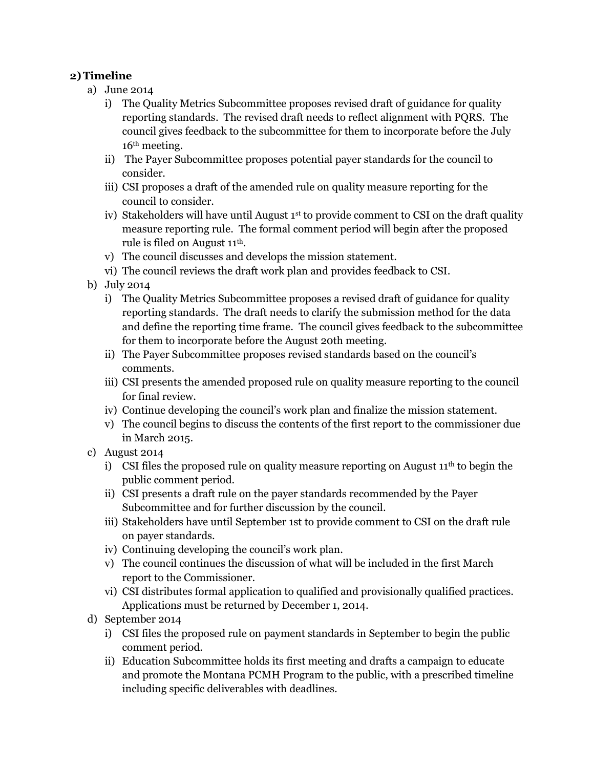## **2)Timeline**

- a) June 2014
	- i) The Quality Metrics Subcommittee proposes revised draft of guidance for quality reporting standards. The revised draft needs to reflect alignment with PQRS. The council gives feedback to the subcommittee for them to incorporate before the July 16th meeting.
	- ii) The Payer Subcommittee proposes potential payer standards for the council to consider.
	- iii) CSI proposes a draft of the amended rule on quality measure reporting for the council to consider.
	- iv) Stakeholders will have until August 1st to provide comment to CSI on the draft quality measure reporting rule. The formal comment period will begin after the proposed rule is filed on August 11th.
	- v) The council discusses and develops the mission statement.
	- vi) The council reviews the draft work plan and provides feedback to CSI.
- b) July 2014
	- i) The Quality Metrics Subcommittee proposes a revised draft of guidance for quality reporting standards. The draft needs to clarify the submission method for the data and define the reporting time frame. The council gives feedback to the subcommittee for them to incorporate before the August 20th meeting.
	- ii) The Payer Subcommittee proposes revised standards based on the council's comments.
	- iii) CSI presents the amended proposed rule on quality measure reporting to the council for final review.
	- iv) Continue developing the council's work plan and finalize the mission statement.
	- v) The council begins to discuss the contents of the first report to the commissioner due in March 2015.
- c) August 2014
	- i) CSI files the proposed rule on quality measure reporting on August  $11<sup>th</sup>$  to begin the public comment period.
	- ii) CSI presents a draft rule on the payer standards recommended by the Payer Subcommittee and for further discussion by the council.
	- iii) Stakeholders have until September 1st to provide comment to CSI on the draft rule on payer standards.
	- iv) Continuing developing the council's work plan.
	- v) The council continues the discussion of what will be included in the first March report to the Commissioner.
	- vi) CSI distributes formal application to qualified and provisionally qualified practices. Applications must be returned by December 1, 2014.
- d) September 2014
	- i) CSI files the proposed rule on payment standards in September to begin the public comment period.
	- ii) Education Subcommittee holds its first meeting and drafts a campaign to educate and promote the Montana PCMH Program to the public, with a prescribed timeline including specific deliverables with deadlines.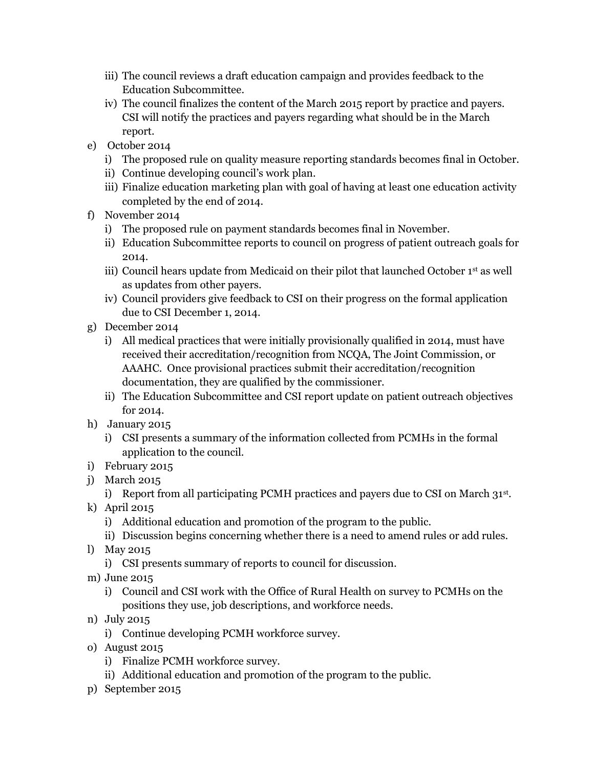- iii) The council reviews a draft education campaign and provides feedback to the Education Subcommittee.
- iv) The council finalizes the content of the March 2015 report by practice and payers. CSI will notify the practices and payers regarding what should be in the March report.
- e) October 2014
	- i) The proposed rule on quality measure reporting standards becomes final in October.
	- ii) Continue developing council's work plan.
	- iii) Finalize education marketing plan with goal of having at least one education activity completed by the end of 2014.
- f) November 2014
	- i) The proposed rule on payment standards becomes final in November.
	- ii) Education Subcommittee reports to council on progress of patient outreach goals for 2014.
	- iii) Council hears update from Medicaid on their pilot that launched October 1<sup>st</sup> as well as updates from other payers.
	- iv) Council providers give feedback to CSI on their progress on the formal application due to CSI December 1, 2014.
- g) December 2014
	- i) All medical practices that were initially provisionally qualified in 2014, must have received their accreditation/recognition from NCQA, The Joint Commission, or AAAHC. Once provisional practices submit their accreditation/recognition documentation, they are qualified by the commissioner.
	- ii) The Education Subcommittee and CSI report update on patient outreach objectives for 2014.
- h) January 2015
	- i) CSI presents a summary of the information collected from PCMHs in the formal application to the council.
- i) February 2015
- j) March 2015
- i) Report from all participating PCMH practices and payers due to CSI on March  $31^{st}$ .
- k) April 2015
	- i) Additional education and promotion of the program to the public.
	- ii) Discussion begins concerning whether there is a need to amend rules or add rules.
- l) May 2015
	- i) CSI presents summary of reports to council for discussion.
- m) June 2015
	- i) Council and CSI work with the Office of Rural Health on survey to PCMHs on the positions they use, job descriptions, and workforce needs.
- n) July 2015
	- i) Continue developing PCMH workforce survey.
- o) August 2015
	- i) Finalize PCMH workforce survey.
	- ii) Additional education and promotion of the program to the public.
- p) September 2015